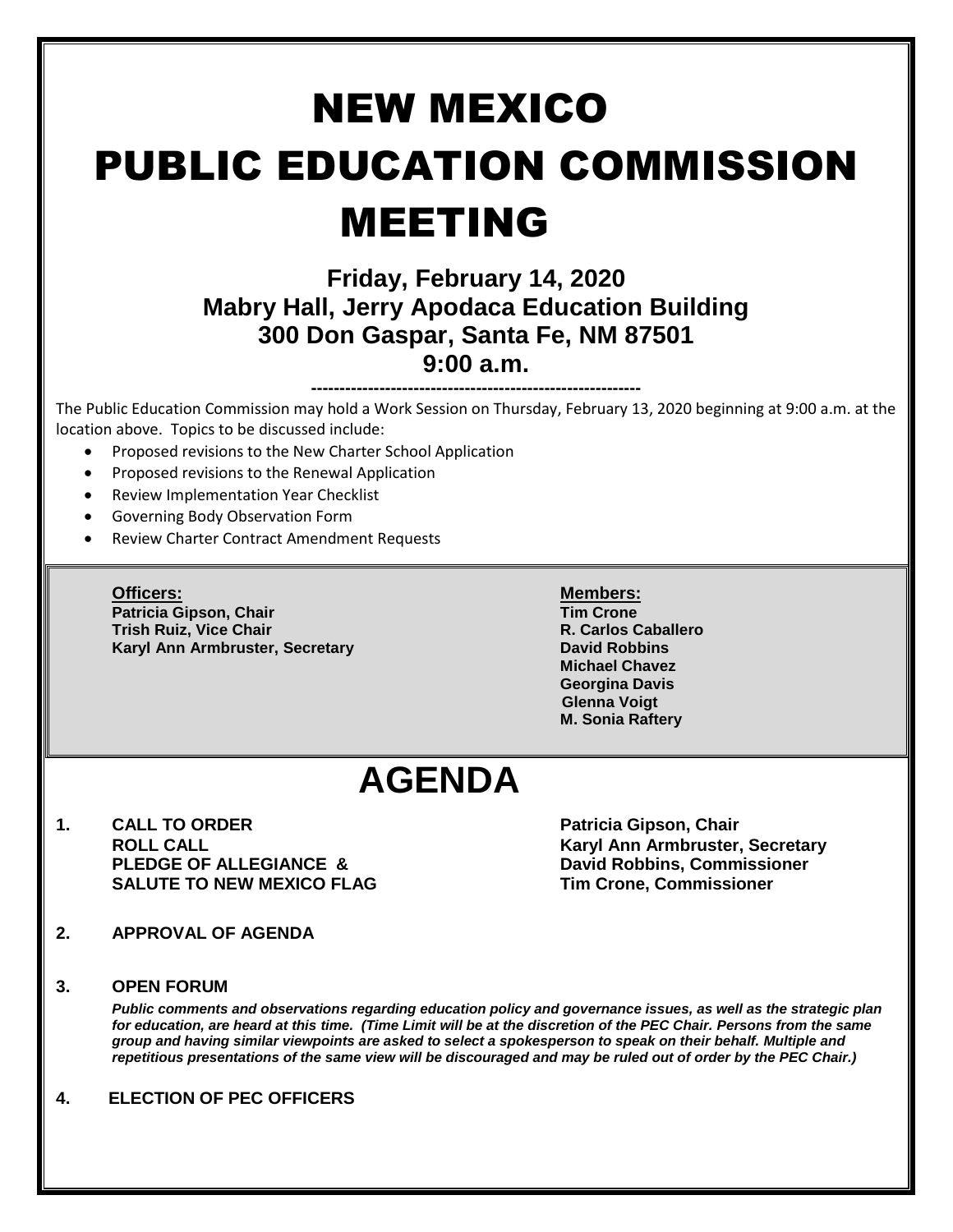# NEW MEXICO PUBLIC EDUCATION COMMISSION MEETING

### **Friday, February 14, 2020 Mabry Hall, Jerry Apodaca Education Building 300 Don Gaspar, Santa Fe, NM 87501 9:00 a.m.**

**----------------------------------------------------------** The Public Education Commission may hold a Work Session on Thursday, February 13, 2020 beginning at 9:00 a.m. at the location above. Topics to be discussed include:

- Proposed revisions to the New Charter School Application
- Proposed revisions to the Renewal Application
- Review Implementation Year Checklist
- Governing Body Observation Form
- Review Charter Contract Amendment Requests

**Officers: Members: Patricia Gipson, Chair Tim Crone Trish Ruiz, Vice Chair R. Carlos Caballero Karyl Ann Armbruster, Secretary <b>David Robbins David Robbins** 

**Michael Chavez Georgina Davis Glenna Voigt M. Sonia Raftery**

## **AGENDA**

**1. CALL TO ORDER Patricia Gipson, Chair SALUTE TO NEW MEXICO FLAG Tim Crone, Commissioner**

**ROLL CALL Karyl Ann Armbruster, Secretary David Robbins, Commissioner** 

- **2. APPROVAL OF AGENDA**
- **3. OPEN FORUM**

*Public comments and observations regarding education policy and governance issues, as well as the strategic plan for education, are heard at this time. (Time Limit will be at the discretion of the PEC Chair. Persons from the same group and having similar viewpoints are asked to select a spokesperson to speak on their behalf. Multiple and repetitious presentations of the same view will be discouraged and may be ruled out of order by the PEC Chair.)*

**4. ELECTION OF PEC OFFICERS**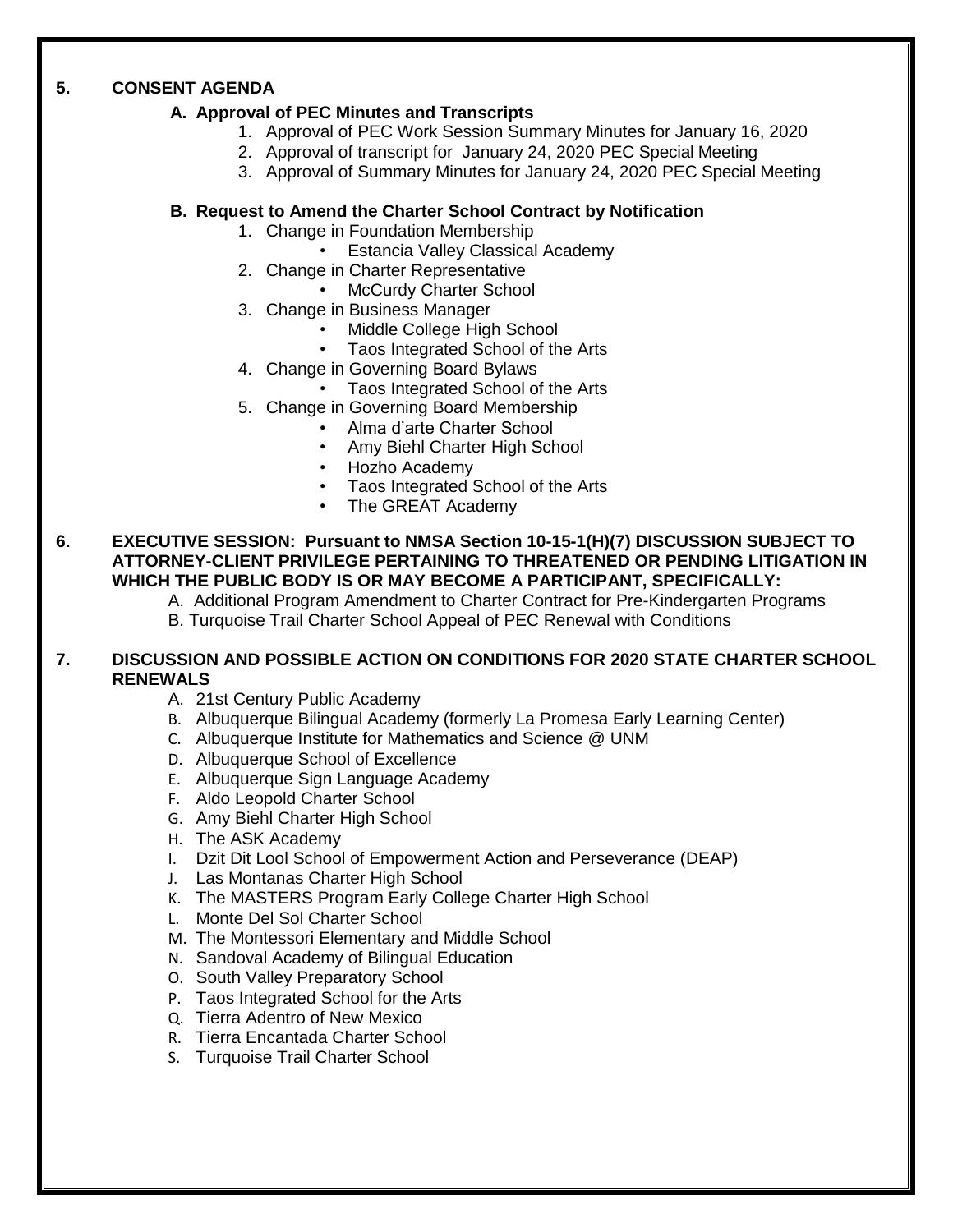#### **5. CONSENT AGENDA**

#### **A. Approval of PEC Minutes and Transcripts**

- 1. Approval of PEC Work Session Summary Minutes for January 16, 2020
- 2. Approval of transcript for January 24, 2020 PEC Special Meeting
- 3. Approval of Summary Minutes for January 24, 2020 PEC Special Meeting

#### **B. Request to Amend the Charter School Contract by Notification**

- 1. Change in Foundation Membership
	- Estancia Valley Classical Academy
- 2. Change in Charter Representative
	- McCurdy Charter School
- 3. Change in Business Manager
	- Middle College High School
	- Taos Integrated School of the Arts
- 4. Change in Governing Board Bylaws
	- Taos Integrated School of the Arts
- 5. Change in Governing Board Membership
	- Alma d'arte Charter School
		- Amy Biehl Charter High School
		- Hozho Academy
		- Taos Integrated School of the Arts
		- The GREAT Academy

**6. EXECUTIVE SESSION: Pursuant to NMSA Section 10-15-1(H)(7) DISCUSSION SUBJECT TO ATTORNEY-CLIENT PRIVILEGE PERTAINING TO THREATENED OR PENDING LITIGATION IN WHICH THE PUBLIC BODY IS OR MAY BECOME A PARTICIPANT, SPECIFICALLY:**

A. Additional Program Amendment to Charter Contract for Pre-Kindergarten Programs B. Turquoise Trail Charter School Appeal of PEC Renewal with Conditions

#### **7. DISCUSSION AND POSSIBLE ACTION ON CONDITIONS FOR 2020 STATE CHARTER SCHOOL RENEWALS**

- A. 21st Century Public Academy
- B. Albuquerque Bilingual Academy (formerly La Promesa Early Learning Center)
- C. Albuquerque Institute for Mathematics and Science @ UNM
- D. Albuquerque School of Excellence
- E. Albuquerque Sign Language Academy
- F. Aldo Leopold Charter School
- G. Amy Biehl Charter High School
- H. The ASK Academy
- I. Dzit Dit Lool School of Empowerment Action and Perseverance (DEAP)
- J. Las Montanas Charter High School
- K. The MASTERS Program Early College Charter High School
- L. Monte Del Sol Charter School
- M. The Montessori Elementary and Middle School
- N. Sandoval Academy of Bilingual Education
- O. South Valley Preparatory School
- P. Taos Integrated School for the Arts
- Q. Tierra Adentro of New Mexico
- R. Tierra Encantada Charter School
- S. Turquoise Trail Charter School